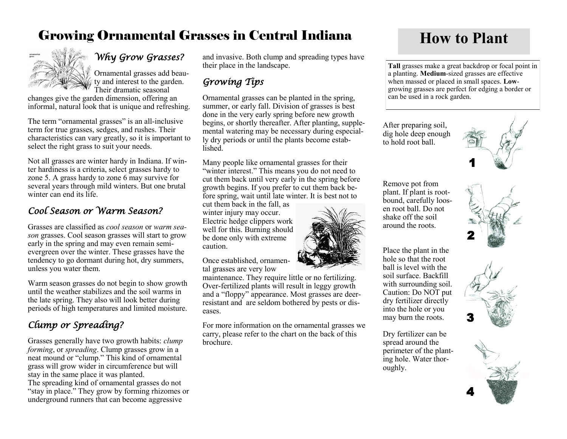# Growing Ornamental Grasses in Central Indiana **How to Plant**



## *Why Grow Grasses?*

Ornamental grasses add beauty and interest to the garden. Their dramatic seasonal

changes give the garden dimension, offering an informal, natural look that is unique and refreshing.

The term "ornamental grasses" is an all-inclusive term for true grasses, sedges, and rushes. Their characteristics can vary greatly, so it is important to select the right grass to suit your needs.

Not all grasses are winter hardy in Indiana. If winter hardiness is a criteria, select grasses hardy to zone 5. A grass hardy to zone 6 may survive for several years through mild winters. But one brutal winter can end its life.

### *Cool Season or Warm Season?*

Grasses are classified as *cool season* or *warm season* grasses. Cool season grasses will start to grow early in the spring and may even remain semievergreen over the winter. These grasses have the tendency to go dormant during hot, dry summers, unless you water them.

Warm season grasses do not begin to show growth until the weather stabilizes and the soil warms in the late spring. They also will look better during periods of high temperatures and limited moisture.

## *Clump or Spreading?*

Grasses generally have two growth habits: *clump forming*, or *spreading*. Clump grasses grow in a neat mound or "clump." This kind of ornamental grass will grow wider in circumference but will stay in the same place it was planted. The spreading kind of ornamental grasses do not "stay in place." They grow by forming rhizomes or underground runners that can become aggressive

and invasive. Both clump and spreading types have their place in the landscape.

## *Growing Tips*

Ornamental grasses can be planted in the spring, summer, or early fall. Division of grasses is best done in the very early spring before new growth begins, or shortly thereafter. After planting, supplemental watering may be necessary during especially dry periods or until the plants become established.

Many people like ornamental grasses for their "winter interest." This means you do not need to cut them back until very early in the spring before growth begins. If you prefer to cut them back before spring, wait until late winter. It is best not to

cut them back in the fall, as winter injury may occur. Electric hedge clippers work well for this. Burning should be done only with extreme caution.

Once established, ornamental grasses are very low

maintenance. They require little or no fertilizing. Over-fertilized plants will result in leggy growth and a "floppy" appearance. Most grasses are deerresistant and are seldom bothered by pests or diseases.

For more information on the ornamental grasses we carry, please refer to the chart on the back of this brochure.



**Tall** grasses make a great backdrop or focal point in a planting. **Medium**-sized grasses are effective when massed or placed in small spaces. **Low**growing grasses are perfect for edging a border or can be used in a rock garden.

After preparing soil, dig hole deep enough to hold root ball.

Remove pot from plant. If plant is rootbound, carefully loosen root ball. Do not shake off the soil around the roots.

Place the plant in the hole so that the root ball is level with the soil surface. Backfill with surrounding soil. Caution: Do NOT put dry fertilizer directly into the hole or you may burn the roots.

Dry fertilizer can be spread around the perimeter of the planting hole. Water thor-

oughly.